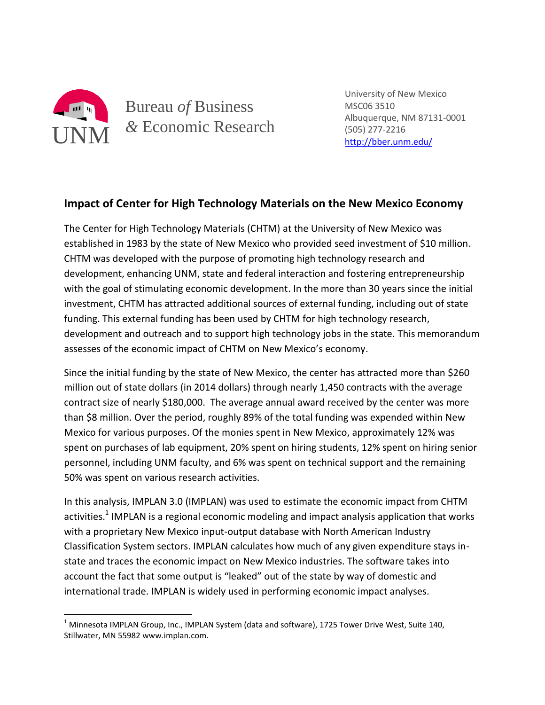

l

Bureau *of* Business *&* Economic Research

University of New Mexico MSC06 3510 Albuquerque, NM 87131-0001 (505) 277-2216 <http://bber.unm.edu/>

## **Impact of Center for High Technology Materials on the New Mexico Economy**

The Center for High Technology Materials (CHTM) at the University of New Mexico was established in 1983 by the state of New Mexico who provided seed investment of \$10 million. CHTM was developed with the purpose of promoting high technology research and development, enhancing UNM, state and federal interaction and fostering entrepreneurship with the goal of stimulating economic development. In the more than 30 years since the initial investment, CHTM has attracted additional sources of external funding, including out of state funding. This external funding has been used by CHTM for high technology research, development and outreach and to support high technology jobs in the state. This memorandum assesses of the economic impact of CHTM on New Mexico's economy.

Since the initial funding by the state of New Mexico, the center has attracted more than \$260 million out of state dollars (in 2014 dollars) through nearly 1,450 contracts with the average contract size of nearly \$180,000. The average annual award received by the center was more than \$8 million. Over the period, roughly 89% of the total funding was expended within New Mexico for various purposes. Of the monies spent in New Mexico, approximately 12% was spent on purchases of lab equipment, 20% spent on hiring students, 12% spent on hiring senior personnel, including UNM faculty, and 6% was spent on technical support and the remaining 50% was spent on various research activities.

In this analysis, IMPLAN 3.0 (IMPLAN) was used to estimate the economic impact from CHTM activities.<sup>1</sup> IMPLAN is a regional economic modeling and impact analysis application that works with a proprietary New Mexico input-output database with North American Industry Classification System sectors. IMPLAN calculates how much of any given expenditure stays instate and traces the economic impact on New Mexico industries. The software takes into account the fact that some output is "leaked" out of the state by way of domestic and international trade. IMPLAN is widely used in performing economic impact analyses.

 $<sup>1</sup>$  Minnesota IMPLAN Group, Inc., IMPLAN System (data and software), 1725 Tower Drive West, Suite 140,</sup> Stillwater, MN 55982 www.implan.com.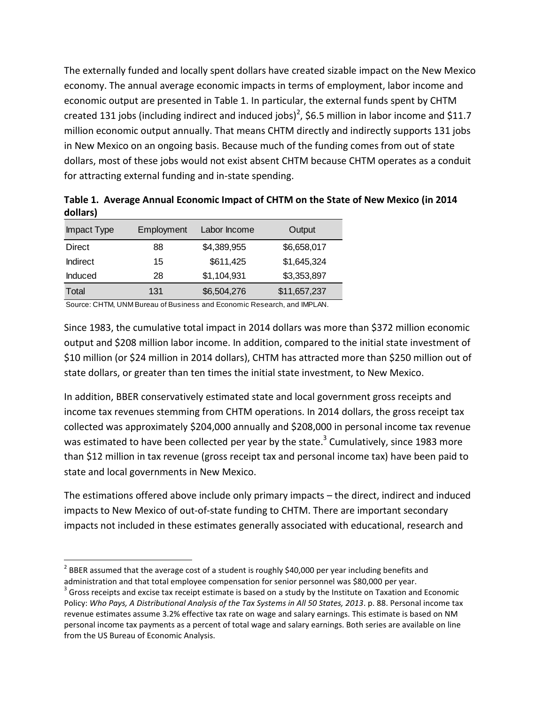The externally funded and locally spent dollars have created sizable impact on the New Mexico economy. The annual average economic impacts in terms of employment, labor income and economic output are presented in Table 1. In particular, the external funds spent by CHTM created 131 jobs (including indirect and induced jobs)<sup>2</sup>, \$6.5 million in labor income and \$11.7 million economic output annually. That means CHTM directly and indirectly supports 131 jobs in New Mexico on an ongoing basis. Because much of the funding comes from out of state dollars, most of these jobs would not exist absent CHTM because CHTM operates as a conduit for attracting external funding and in-state spending.

| dollars)        |            |              |              |
|-----------------|------------|--------------|--------------|
| Impact Type     | Employment | Labor Income | Output       |
| <b>Direct</b>   | 88         | \$4,389,955  | \$6,658,017  |
| <b>Indirect</b> | 15         | \$611,425    | \$1,645,324  |
| <b>Induced</b>  | 28         | \$1,104,931  | \$3,353,897  |
| Total           | 131        | \$6,504,276  | \$11,657,237 |
|                 |            |              |              |

**Table 1. Average Annual Economic Impact of CHTM on the State of New Mexico (in 2014 dollars)**

Source: CHTM, UNM Bureau of Business and Economic Research, and IMPLAN.

 $\overline{\phantom{a}}$ 

Since 1983, the cumulative total impact in 2014 dollars was more than \$372 million economic output and \$208 million labor income. In addition, compared to the initial state investment of \$10 million (or \$24 million in 2014 dollars), CHTM has attracted more than \$250 million out of state dollars, or greater than ten times the initial state investment, to New Mexico.

In addition, BBER conservatively estimated state and local government gross receipts and income tax revenues stemming from CHTM operations. In 2014 dollars, the gross receipt tax collected was approximately \$204,000 annually and \$208,000 in personal income tax revenue was estimated to have been collected per year by the state.<sup>3</sup> Cumulatively, since 1983 more than \$12 million in tax revenue (gross receipt tax and personal income tax) have been paid to state and local governments in New Mexico.

The estimations offered above include only primary impacts – the direct, indirect and induced impacts to New Mexico of out-of-state funding to CHTM. There are important secondary impacts not included in these estimates generally associated with educational, research and

 $^{2}$  BBER assumed that the average cost of a student is roughly \$40,000 per year including benefits and administration and that total employee compensation for senior personnel was \$80,000 per year.

 $^3$  Gross receipts and excise tax receipt estimate is based on a study by the Institute on Taxation and Economic Policy: *Who Pays, A Distributional Analysis of the Tax Systems in All 50 States, 2013*. p. 88. Personal income tax revenue estimates assume 3.2% effective tax rate on wage and salary earnings. This estimate is based on NM personal income tax payments as a percent of total wage and salary earnings. Both series are available on line from the US Bureau of Economic Analysis.